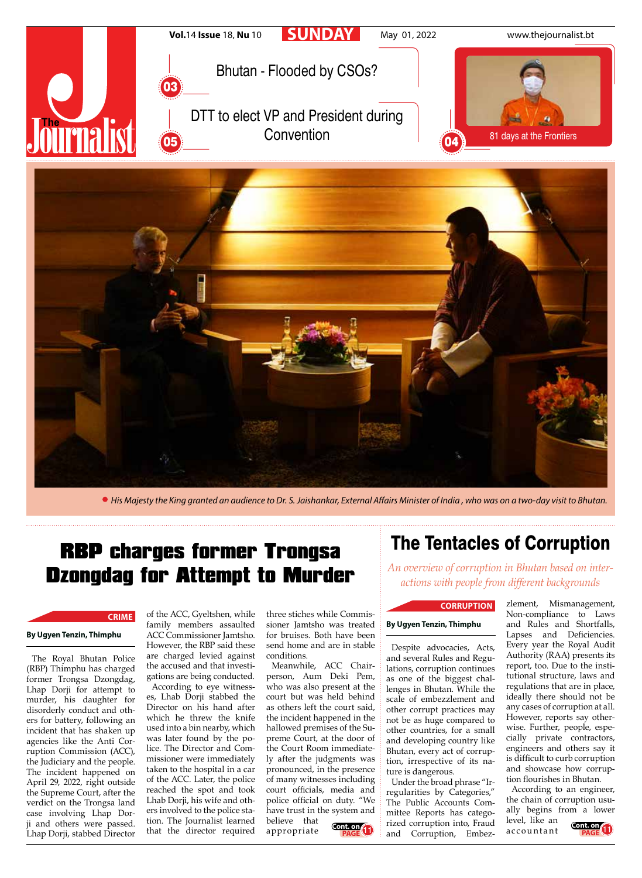

*His Majesty the King granted an audience to Dr. S. Jaishankar, External Affairs Minister of India , who was on a two-day visit to Bhutan.*

# RBP charges former Trongsa Dzongdag for Attempt to Murder

### **CRIME**

#### **By Ugyen Tenzin, Thimphu**

The Royal Bhutan Police (RBP) Thimphu has charged former Trongsa Dzongdag, Lhap Dorji for attempt to murder, his daughter for disorderly conduct and others for battery, following an incident that has shaken up agencies like the Anti Corruption Commission (ACC), the Judiciary and the people. The incident happened on April 29, 2022, right outside the Supreme Court, after the verdict on the Trongsa land case involving Lhap Dorji and others were passed. Lhap Dorji, stabbed Director

of the ACC, Gyeltshen, while family members assaulted ACC Commissioner Jamtsho. However, the RBP said these are charged levied against the accused and that investigations are being conducted.

According to eye witnesses, Lhab Dorji stabbed the Director on his hand after which he threw the knife used into a bin nearby, which was later found by the police. The Director and Commissioner were immediately taken to the hospital in a car of the ACC. Later, the police reached the spot and took Lhab Dorji, his wife and others involved to the police station. The Journalist learned that the director required

three stiches while Commissioner Jamtsho was treated for bruises. Both have been send home and are in stable conditions.

Meanwhile, ACC Chairperson, Aum Deki Pem, who was also present at the court but was held behind as others left the court said, the incident happened in the hallowed premises of the Supreme Court, at the door of the Court Room immediately after the judgments was pronounced, in the presence of many witnesses including court officials, media and police official on duty. "We have trust in the system and believe that appropriate **Cont. on** 

## The Tentacles of Corruption

*An overview of corruption in Bhutan based on interactions with people from different backgrounds*

#### **CORRUPTION**

#### **By Ugyen Tenzin, Thimphu**

Despite advocacies, Acts, and several Rules and Regulations, corruption continues as one of the biggest challenges in Bhutan. While the scale of embezzlement and other corrupt practices may not be as huge compared to other countries, for a small and developing country like Bhutan, every act of corruption, irrespective of its nature is dangerous.

Under the broad phrase "Irregularities by Categories," The Public Accounts Committee Reports has categorized corruption into, Fraud **Cont. on**<br>**PAGE 1** and Corruption, Embez- accountant

zlement, Mismanagement, Non-compliance to Laws and Rules and Shortfalls, Lapses and Deficiencies. Every year the Royal Audit Authority (RAA) presents its report, too. Due to the institutional structure, laws and regulations that are in place, ideally there should not be any cases of corruption at all. However, reports say otherwise. Further, people, especially private contractors, engineers and others say it is difficult to curb corruption and showcase how corruption flourishes in Bhutan.

According to an engineer, the chain of corruption usually begins from a lower level, like an